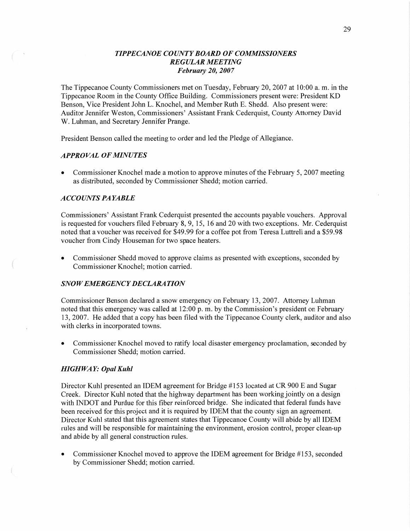## *TIPPECANOE COUNTY BOARD* OF *COMMISSIONERS REGULAR MEETING February* 20, *2007*

The Tippecanoe County Commissioners met on Tuesday, February 20, 2007 at 10:00 a. m. in the Tippecanoe Room in the County Office Building. Commissioners present were: President KD Benson, Vice President John L. Knochel, and Member Ruth B. Shedd. Also present were: Auditor Jennifer Weston, Commissioners' Assistant Frank Cederquist, County Attorney David W. Luhman, and Secretary Jennifer Prange.

President Benson called the meeting to order and led the Pledge of Allegiance.

### *APPROVAL* OF *MINUTES*

**0** Commissioner Knochel made a motion to approve minutes of the February 5, 2007 meeting as distributed, seconded by Commissioner Shedd; motion carried.

#### *A* CCO UN *T S* PA *YABLE*

Commissioners' Assistant Frank Cederquist presented the accounts payable vouchers. Approval is requested for vouchers filed February 8, 9, 15, 16 and 20 with two exceptions. Mr. Cederquist noted that a voucher was received for \$49.99 for a coffee pot from Teresa Luttrell and **a** \$59.98 voucher from Cindy Houseman for two space heaters.

**0** Commissioner Shedd moved to approve claims as presented with exceptions, seconded by Commissioner Knochel; motion carried.

### *SNOWEMERGENCY DECLARATION*

Commissioner Benson declared a snow emergency on February 13, 2007. Attorney Luhman noted that this emergency was called at 12:00 p. m. by the Commission's president on February 13, 2007. He added that a copy has been filed with the Tippecanoe County clerk, auditor and also with clerks in incorporated towns.

**0** Commissioner Knochel moved to ratify local disaster emergency proclamation, seconded by Commissioner Shedd; motion carried.

### *HIGH* WA Y: *Opal Kuhl*

Director Kuhl presented an IDEM agreement for Bridge #153 located at CR 900 E and Sugar Creek. Director Kuhl noted that the highway department has been working jointly on a design with INDOT and Purdue for this fiber reinforced bridge. She indicated that federal funds have been received for this project and it is required by IDEM that the county sign an agreement. Director Kuhl stated that this agreement states that Tippecanoe County will abide by all IDEM rules and will be responsible for maintaining the environment, erosion control, proper clean-up and abide by all general construction rules.

**0** Commissioner Knochel moved to approve the IDEM agreement for Bridge #153, seconded by Commissioner Shedd; motion carried.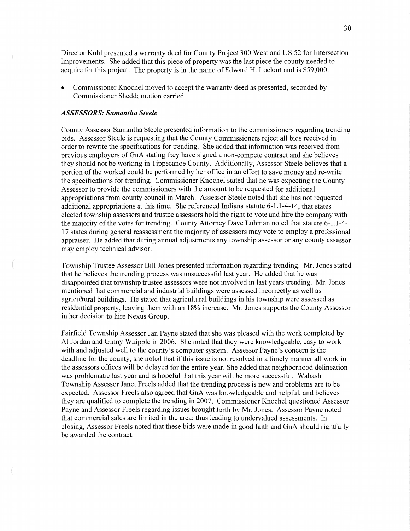Director Kuhl presented a warranty deed for County Project 300 West and US 52 for Intersection Improvements. She added that this piece of property was the last piece the county needed to acquire for this project. The property is in the name of Edward H. Lockart and is \$59,000.

**0** Commissioner Knochel moved to accept the warranty deed as presented, seconded by Commissioner Shedd; motion carried.

#### *ASSESSORS: Samantha Steele*

 $\left(\right.$ 

County Assessor **Samantha** Steele presented information to the commissioners regarding trending bids. Assessor Steele is requesting that the County Commissioners reject all bids received in order to rewrite the specifications for trending. She added **that** information was received from previous employers of GnA stating they have signed a non-compete contract and she believes they should not be working in Tippecanoe County. Additionally, Assessor Steele believes **that** a portion of the worked could be performed by her office in an effort to save money and re-write the specifications for trending. Commissioner Knochel stated **that** he was expecting the County Assessor to provide the commissioners with the amount to be requested for additional appropriations from county council in March. Assessor Steele noted **that** she has not requested additional appropriations at **this** time. She referenced Indiana statute 6-1 .1-4-14, that states elected township assessors and trustee assessors hold the right to vote and hire the company with the majority of the votes for trending. County Attorney Dave Luhman noted **that** statute 6-1.1-4- 17 states during general reassessment the majority of assessors may vote to employ **a** professional appraiser. He added **that** during annual adjustments any township assessor or any county assessor may employ technical advisor.

Township Trustee Assessor Bill Jones presented information regarding trending. Mr. Jones stated that he believes the trending process was unsuccessful last year. He added that he was disappointed that township trustee assessors were not involved in last years trending. Mr. Jones mentioned that commercial and industrial buildings were assessed incorrectly as well as agricultural buildings. He stated that agricultural buildings in his township were assessed as residential property, leaving them with an 18% increase. Mr. Jones supports the County Assessor in her decision to hire Nexus Group.

Fairfield Township **Assessor** Jan Payne stated that she was pleased with the work completed by A1 Jordan and Ginny Whipple in 2006. She noted that they were knowledgeable, easy to work with and adjusted well to the county's computer system. Assessor Payne's concern is the deadline for the county, she noted that if this issue is not resolved in a timely manner all work in the assessors **offices** will be delayed for the entire year. She added that neighborhood delineation was problematic last year and is hopeful that this year will be more successful. Wabash Township Assessor Janet Freels added that the trending process is new and problems are to be expected. Assessor Freels also agreed that GnA was knowledgeable and helpful, and believes they are qualified to complete the trending in 2007. Commissioner Knochel questioned Assessor Payne and Assessor Freels regarding issues brought forth by Mr. Jones. Assessor Payne noted that commercial sales are limited in the area; thus leading to undervalued assessments. In closing, Assessor Freels noted that these bids were made in good **faith** and GnA should rightfully be awarded the contract.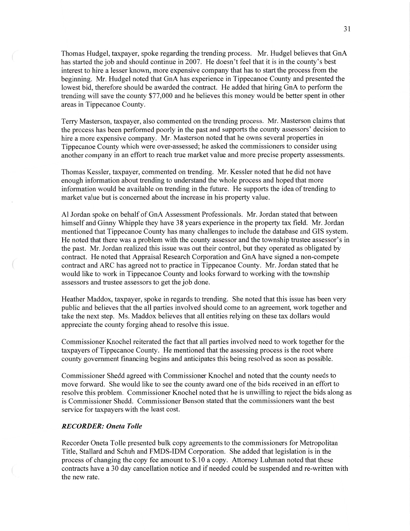Thomas Hudgel, taxpayer, spoke regarding the trending process. Mr. Hudgel believes that GnA has started the job and should continue in 2007. He doesn't feel that it is in the county's best interest to hire a lesser known, more expensive company **that** has to start the process from the beginning. Mr. Hudgel noted that GnA has experience in Tippecanoe County and presented the lowest bid, therefore should be awarded the contract. He added that hiring GnA to perform the trending will save the county \$77,000 and he believes this money would be better spent in other areas in Tippecanoe County.

Terry Masterson, taxpayer, also commented on the trending process. Mr. Masterson claims that the process has been performed poorly in the past and supports the county assessors' decision to hire a more expensive company. Mr. Masterson noted that he owns several properties in Tippecanoe County which were over-assessed; he asked the commissioners to consider using another company in an effort to reach true market value and more precise property assessments.

Thomas Kessler, taxpayer, commented on trending. Mr. Kessler noted that he did not have enough information about trending to understand the whole process and hoped **that** more information would be available on trending in the future. He supports the idea of trending to market value but is concerned about the increase in his property value.

A1 Jordan spoke on behalf of GnA Assessment Professionals. Mr. Jordan stated that between himself and Ginny Whipple they have 38 years experience in the property tax field. Mr. Jordan mentioned that Tippecanoe County has many challenges to include the database and GIS system. He noted that there was a problem with the county assessor and the township trustee assessor's in the past. Mr. Jordan realized this issue was out their control, but they operated as obligated by contract. He noted that Appraisal Research Corporation and GnA have signed a non-compete contract and ARC has agreed not to practice in Tippecanoe County. Mr. Jordan stated that he would like to work in Tippecanoe County and looks forward to working with the township assessors and trustee assessors to get the job done.

Heather Maddox, taxpayer, spoke in regards to trending. She noted that this issue has been very public and believes that the all parties involved should come to an agreement, work together and take the next step. Ms. Maddox believes that all entities relying on these tax dollars would appreciate the county forging ahead to resolve this issue.

Commissioner Knochel reiterated the fact that all parties involved need to work together for the taxpayers of Tippecanoe County. He mentioned that the assessing process is the root where county government financing begins and anticipates this being resolved as soon as possible.

Commissioner Shedd agreed with Commissioner Knochel and noted that the county needs to move forward. She would like to see the county award one of the bids received in an effort to resolve this problem. Commissioner Knochel noted that he is unwilling to reject the bids along as is Commissioner Shedd. Commissioner Benson stated that the commissioners want the best service for taxpayers with the least cost.

#### *RECORDER: Oneta T olle*

Recorder Oneta Tolle presented bulk copy agreements to the commissioners for Metropolitan Title, Stallard and Schuh and FMDS-IDM Corporation. She added that legislation is in the process of changing the copy fee amount to \$.10 **a** copy. Attorney Luhman noted that these contracts **have a** 30 day cancellation notice and if needed could be suspended and re-written with the new rate.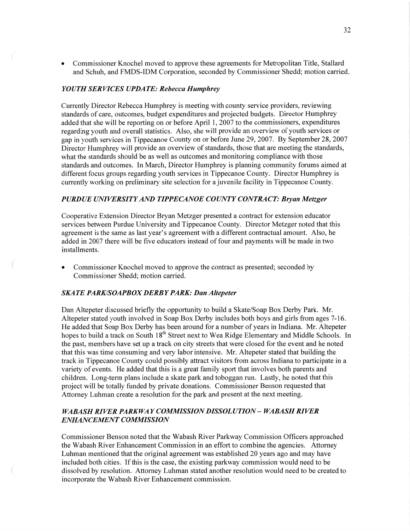*0* Commissioner Knochel moved to approve these agreements for Metropolitan Title, Stallard and Schuh, and FMDS-IDM Corporation, seconded by Commissioner Shedd; motion carried.

#### *YOUTH SERVICES UPDATE: Rebecca Humphrey*

Currently Director Rebecca Humphrey is meeting with county service providers, reviewing standards of care, outcomes, budget expenditures and projected budgets. Director Humphrey added that she will be reporting on or before April 1, 2007 to the commissioners, expenditures regarding youth and overall statistics. Also, she will provide an overview of youth services or gap in youth services in Tippecanoe County on or before June 29, 2007. By September 28, 2007 Director Humphrey will provide an overview of standards, those that are meeting the standards, what the standards should be as well as outcomes and monitoring compliance with those standards and outcomes. In March, Director Humphrey is planning community forums aimed at different focus groups regarding youth services in Tippecanoe County. Director Humphrey is currently working on preliminary site selection for a juvenile facility in Tippecanoe County.

## *PURDUE UNIVERSITY* AND *T IPPECANOE COUNTY CONTRACT: Bryan Metzger*

Cooperative Extension Director Bryan Metzger presented a contract for extension educator services between Purdue University and Tippecanoe County. Director Metzger noted that this agreement is the same as last year's agreement with a different contractual amount. Also, he added in 2007 there will be five educators instead of four and payments will be made in two installments.

**-** Commissioner Knochel moved to approve the contract as presented; seconded by Commissioner Shedd; motion carried.

### SKA TE *PARK/SOAPBOX DERB Y PARK:* Dan *Altepeter*

Dan Altepeter discussed briefly the opportunity to build a Skate/Soap Box Derby Park. Mr. Altepeter stated youth involved in Soap Box Derby includes both boys and girls from ages 7—16. He added that Soap Box Derby has been around for a number of years in Indiana. Mr. Altepeter hopes to build a track on South 18<sup>th</sup> Street next to Wea Ridge Elementary and Middle Schools. In the past, members have set up a track on city streets **that** were closed for the event and he noted that this was time consuming and very labor intensive. Mr. Altepeter stated that building the track in Tippecanoe County could possibly attract Visitors from across Indiana to participate in a variety of events. He added that this is a great family sport that involves both parents and children. Long-term plans include **a** skate park and toboggan run. Lastly, he noted that this project will be totally funded by private donations. Commissioner Benson requested that Attorney Luhman create a resolution for the park and present at the next meeting.

# *WABASH RIVER PARKWAY COMMISSION DISSOL U TION* **—** *WABASH RIVER ENHANCEMENT COMMISSION*

Commissioner Benson noted that the Wabash River Parkway Commission Officers approached the Wabash River Enhancement Commission in an effort to combine the agencies. Attorney Luhman mentioned that the original agreement was established 20 years ago and may have included both cities. If this is the case, the existing parkway commission would need to be dissolved by resolution. Attorney Luhman stated another resolution would need to be created to incorporate the Wabash River Enhancement commission.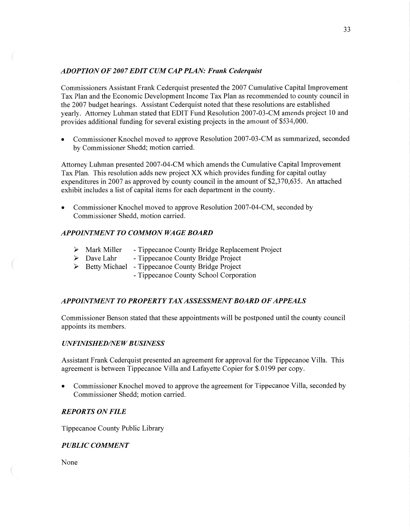### *ADOPTION* OF *2007 EDIT* CUM CAP *PLAN: Frank Cederquist*

Commissioners Assistant Frank Cederquist presented the 2007 Cumulative Capital Improvement Tax Plan and the Economic Development Income Tax Plan as recommended to county council in the 2007 budget hearings. Assistant Cederquist noted that these resolutions are established yearly. Attorney Luhman stated that EDIT Fund Resolution 2007-03-CM amends project 10 and provides additional funding for several existing projects in the amount of \$534,000.

**0** Commissioner Knochel moved to approve Resolution 2007-03 -CM as summarized, seconded by Commissioner Shedd; motion carried.

Attorney Luhman presented 2007-04-CM which amends the Cumulative Capital Improvement Tax Plan. This resolution adds new project XX which provides funding for capital outlay expenditures in 2007 as approved by county council in the amount of \$2,370,635. An attached exhibit includes a list of capital items for each department in the county.

Commissioner Knochel moved to approve Resolution 2007-04-CM, seconded by Commissioner Shedd, motion carried.

### *APPOINTMENT* T0 *COMMON* WA GE *BOARD*

- **>** Mark Miller Tippecanoe County Bridge Replacement Project
- > Dave Lahr Tippecanoe County Bridge Project
- > Betty Michael Tippecanoe County Bridge Project
	- Tippecanoe County School Corporation

# *APPOINTMENT T 0 PROPERTY* TAX *ASSESSMENT BOARD* OF *APPEALS*

Commissioner Benson stated that these appointments will be postponed until the county council appoints its members.

### *UNFINISHED/NEW BUSINESS*

Assistant Frank Cederquist presented an agreement for approval for the Tippecanoe Villa. This agreement is between Tippecanoe Villa and Lafayette Copier for \$.0199 per copy.

**0** Commissioner Knochel moved to approve the agreement for Tippecanoe Villa, seconded by Commissioner Shedd; motion carried.

### *REPORTS* ON *FILE*

Tippecanoe County Public Library

# *PUBLIC COMMENT*

None